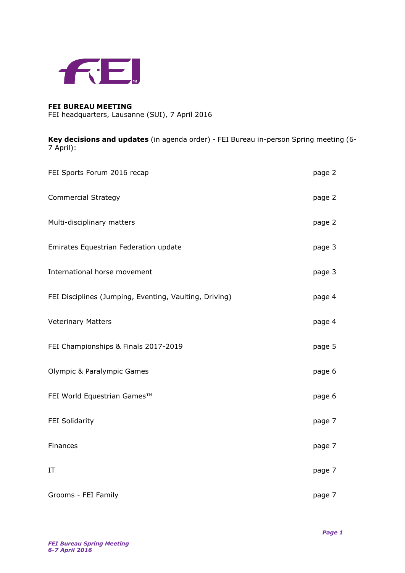

## **FEI BUREAU MEETING**

FEI headquarters, Lausanne (SUI), 7 April 2016

**Key decisions and updates** (in agenda order) - FEI Bureau in-person Spring meeting (6- 7 April):

| FEI Sports Forum 2016 recap                            | page 2 |
|--------------------------------------------------------|--------|
| <b>Commercial Strategy</b>                             | page 2 |
| Multi-disciplinary matters                             | page 2 |
| Emirates Equestrian Federation update                  | page 3 |
| International horse movement                           | page 3 |
| FEI Disciplines (Jumping, Eventing, Vaulting, Driving) | page 4 |
| <b>Veterinary Matters</b>                              | page 4 |
| FEI Championships & Finals 2017-2019                   | page 5 |
| <b>Olympic &amp; Paralympic Games</b>                  | page 6 |
| FEI World Equestrian Games™                            | page 6 |
| FEI Solidarity                                         | page 7 |
| Finances                                               | page 7 |
| IT                                                     | page 7 |
| Grooms - FEI Family                                    | page 7 |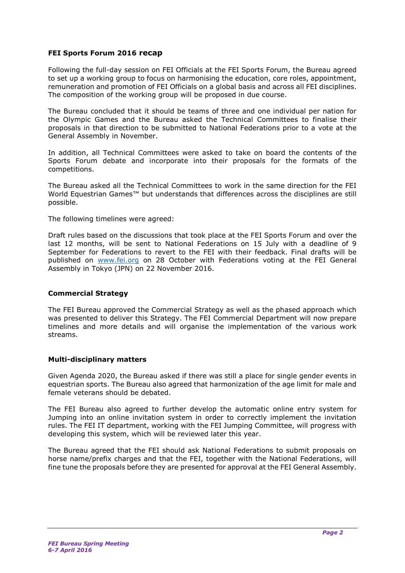### **FEI Sports Forum 2016 recap**

Following the full-day session on FEI Officials at the FEI Sports Forum, the Bureau agreed to set up a working group to focus on harmonising the education, core roles, appointment, remuneration and promotion of FEI Officials on a global basis and across all FEI disciplines. The composition of the working group will be proposed in due course.

The Bureau concluded that it should be teams of three and one individual per nation for the Olympic Games and the Bureau asked the Technical Committees to finalise their proposals in that direction to be submitted to National Federations prior to a vote at the General Assembly in November.

In addition, all Technical Committees were asked to take on board the contents of the Sports Forum debate and incorporate into their proposals for the formats of the competitions.

The Bureau asked all the Technical Committees to work in the same direction for the FEI World Equestrian Games<sup>™</sup> but understands that differences across the disciplines are still possible.

The following timelines were agreed:

Draft rules based on the discussions that took place at the FEI Sports Forum and over the last 12 months, will be sent to National Federations on 15 July with a deadline of 9 September for Federations to revert to the FEI with their feedback. Final drafts will be published on [www.fei.org](http://www.fei.org/) on 28 October with Federations voting at the FEI General Assembly in Tokyo (JPN) on 22 November 2016.

### **Commercial Strategy**

The FEI Bureau approved the Commercial Strategy as well as the phased approach which was presented to deliver this Strategy. The FEI Commercial Department will now prepare timelines and more details and will organise the implementation of the various work streams.

### **Multi-disciplinary matters**

Given Agenda 2020, the Bureau asked if there was still a place for single gender events in equestrian sports. The Bureau also agreed that harmonization of the age limit for male and female veterans should be debated.

The FEI Bureau also agreed to further develop the automatic online entry system for Jumping into an online invitation system in order to correctly implement the invitation rules. The FEI IT department, working with the FEI Jumping Committee, will progress with developing this system, which will be reviewed later this year.

The Bureau agreed that the FEI should ask National Federations to submit proposals on horse name/prefix charges and that the FEI, together with the National Federations, will fine tune the proposals before they are presented for approval at the FEI General Assembly.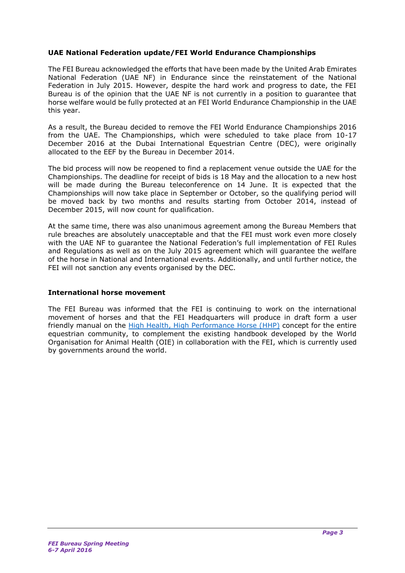# **UAE National Federation update/FEI World Endurance Championships**

The FEI Bureau acknowledged the efforts that have been made by the United Arab Emirates National Federation (UAE NF) in Endurance since the reinstatement of the National Federation in July 2015. However, despite the hard work and progress to date, the FEI Bureau is of the opinion that the UAE NF is not currently in a position to guarantee that horse welfare would be fully protected at an FEI World Endurance Championship in the UAE this year.

As a result, the Bureau decided to remove the FEI World Endurance Championships 2016 from the UAE. The Championships, which were scheduled to take place from 10-17 December 2016 at the Dubai International Equestrian Centre (DEC), were originally allocated to the EEF by the Bureau in December 2014.

The bid process will now be reopened to find a replacement venue outside the UAE for the Championships. The deadline for receipt of bids is 18 May and the allocation to a new host will be made during the Bureau teleconference on 14 June. It is expected that the Championships will now take place in September or October, so the qualifying period will be moved back by two months and results starting from October 2014, instead of December 2015, will now count for qualification.

At the same time, there was also unanimous agreement among the Bureau Members that rule breaches are absolutely unacceptable and that the FEI must work even more closely with the UAE NF to guarantee the National Federation's full implementation of FEI Rules and Regulations as well as on the July 2015 agreement which will guarantee the welfare of the horse in National and International events. Additionally, and until further notice, the FEI will not sanction any events organised by the DEC.

### **International horse movement**

The FEI Bureau was informed that the FEI is continuing to work on the international movement of horses and that the FEI Headquarters will produce in draft form a user friendly manual on the [High Health, High Performance](http://www.fei.org/news/fei-celebrates-pivotal-decision-international-sport-horse-movement) Horse (HHP) concept for the entire equestrian community, to complement the existing handbook developed by the World Organisation for Animal Health (OIE) in collaboration with the FEI, which is currently used by governments around the world.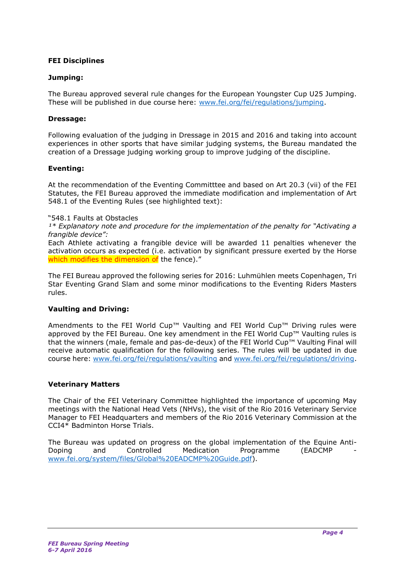## **FEI Disciplines**

### **Jumping:**

The Bureau approved several rule changes for the European Youngster Cup U25 Jumping. These will be published in due course here: [www.fei.org/fei/regulations/jumping.](http://www.fei.org/fei/regulations/jumping)

### **Dressage:**

Following evaluation of the judging in Dressage in 2015 and 2016 and taking into account experiences in other sports that have similar judging systems, the Bureau mandated the creation of a Dressage judging working group to improve judging of the discipline.

### **Eventing:**

At the recommendation of the Eventing Committtee and based on Art 20.3 (vii) of the FEI Statutes, the FEI Bureau approved the immediate modification and implementation of Art 548.1 of the Eventing Rules (see highlighted text):

"548.1 Faults at Obstacles

*¹\* Explanatory note and procedure for the implementation of the penalty for "Activating a frangible device":* 

Each Athlete activating a frangible device will be awarded 11 penalties whenever the activation occurs as expected (i.e. activation by significant pressure exerted by the Horse which modifies the dimension of the fence)."

The FEI Bureau approved the following series for 2016: Luhmühlen meets Copenhagen, Tri Star Eventing Grand Slam and some minor modifications to the Eventing Riders Masters rules.

# **Vaulting and Driving:**

Amendments to the FEI World Cup™ Vaulting and FEI World Cup™ Driving rules were approved by the FEI Bureau. One key amendment in the FEI World Cup™ Vaulting rules is that the winners (male, female and pas-de-deux) of the FEI World Cup™ Vaulting Final will receive automatic qualification for the following series. The rules will be updated in due course here: [www.fei.org/fei/regulations/vaulting](http://www.fei.org/fei/regulations/vaulting) and [www.fei.org/fei/regulations/driving.](http://www.fei.org/fei/regulations/driving)

# **Veterinary Matters**

The Chair of the FEI Veterinary Committee highlighted the importance of upcoming May meetings with the National Head Vets (NHVs), the visit of the Rio 2016 Veterinary Service Manager to FEI Headquarters and members of the Rio 2016 Veterinary Commission at the CCI4\* Badminton Horse Trials.

The Bureau was updated on progress on the global implementation of the Equine Anti-Doping and Controlled Medication Programme (EADCMP [www.fei.org/system/files/Global%20EADCMP%20Guide.pdf\)](http://www.fei.org/system/files/Global%20EADCMP%20Guide.pdf).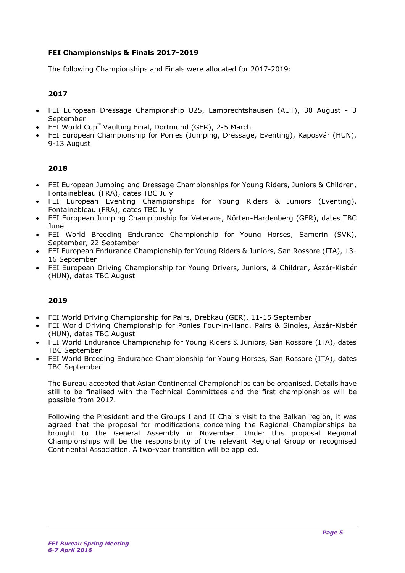# **FEI Championships & Finals 2017-2019**

The following Championships and Finals were allocated for 2017-2019:

# **2017**

- FEI European Dressage Championship U25, Lamprechtshausen (AUT), 30 August 3 September
- FEI World Cup™ Vaulting Final, Dortmund (GER), 2-5 March
- FEI European Championship for Ponies (Jumping, Dressage, Eventing), Kaposvár (HUN), 9-13 August

# **2018**

- FEI European Jumping and Dressage Championships for Young Riders, Juniors & Children, Fontainebleau (FRA), dates TBC July
- FEI European Eventing Championships for Young Riders & Juniors (Eventing), Fontainebleau (FRA), dates TBC July
- FEI European Jumping Championship for Veterans, Nörten-Hardenberg (GER), dates TBC June
- FEI World Breeding Endurance Championship for Young Horses, Samorin (SVK), September, 22 September
- FEI European Endurance Championship for Young Riders & Juniors, San Rossore (ITA), 13- 16 September
- FEI European Driving Championship for Young Drivers, Juniors, & Children, Ászár-Kisbér (HUN), dates TBC August

### **2019**

- FEI World Driving Championship for Pairs, Drebkau (GER), 11-15 September
- FEI World Driving Championship for Ponies Four-in-Hand, Pairs & Singles, Ászár-Kisbér (HUN), dates TBC August
- FEI World Endurance Championship for Young Riders & Juniors, San Rossore (ITA), dates TBC September
- FEI World Breeding Endurance Championship for Young Horses, San Rossore (ITA), dates TBC September

The Bureau accepted that Asian Continental Championships can be organised. Details have still to be finalised with the Technical Committees and the first championships will be possible from 2017.

Following the President and the Groups I and II Chairs visit to the Balkan region, it was agreed that the proposal for modifications concerning the Regional Championships be brought to the General Assembly in November. Under this proposal Regional Championships will be the responsibility of the relevant Regional Group or recognised Continental Association. A two-year transition will be applied.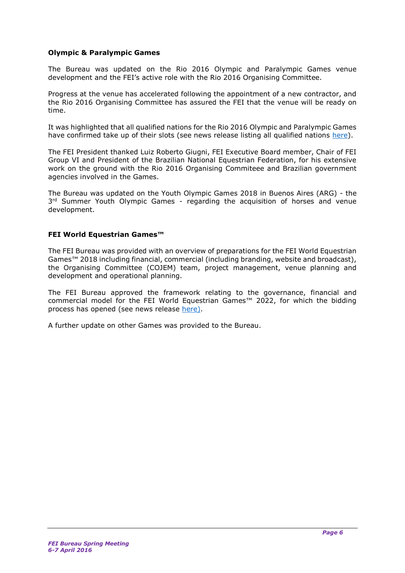## **Olympic & Paralympic Games**

The Bureau was updated on the Rio 2016 Olympic and Paralympic Games venue development and the FEI's active role with the Rio 2016 Organising Committee.

Progress at the venue has accelerated following the appointment of a new contractor, and the Rio 2016 Organising Committee has assured the FEI that the venue will be ready on time.

It was highlighted that all qualified nations for the Rio 2016 Olympic and Paralympic Games have confirmed take up of their slots (see news release listing all qualified nations [here\)](http://www.fei.org/news/six-nations-make-olympic-and-paralympic-d%C3%A9buts-rio-2016-equestrian-events).

The FEI President thanked Luiz Roberto Giugni, FEI Executive Board member, Chair of FEI Group VI and President of the Brazilian National Equestrian Federation, for his extensive work on the ground with the Rio 2016 Organising Commiteee and Brazilian government agencies involved in the Games.

The Bureau was updated on the Youth Olympic Games 2018 in Buenos Aires (ARG) - the 3<sup>rd</sup> Summer Youth Olympic Games - regarding the acquisition of horses and venue development.

### **FEI World Equestrian Games™**

The FEI Bureau was provided with an overview of preparations for the FEI World Equestrian Games™ 2018 including financial, commercial (including branding, website and broadcast), the Organising Committee (COJEM) team, project management, venue planning and development and operational planning.

The FEI Bureau approved the framework relating to the governance, financial and commercial model for the FEI World Equestrian Games™ 2022, for which the bidding process has opened (see news release [here\)](http://www.fei.org/news/fei-launches-bid-process-fei-world-equestrian-games%E2%84%A2-2022).

A further update on other Games was provided to the Bureau.